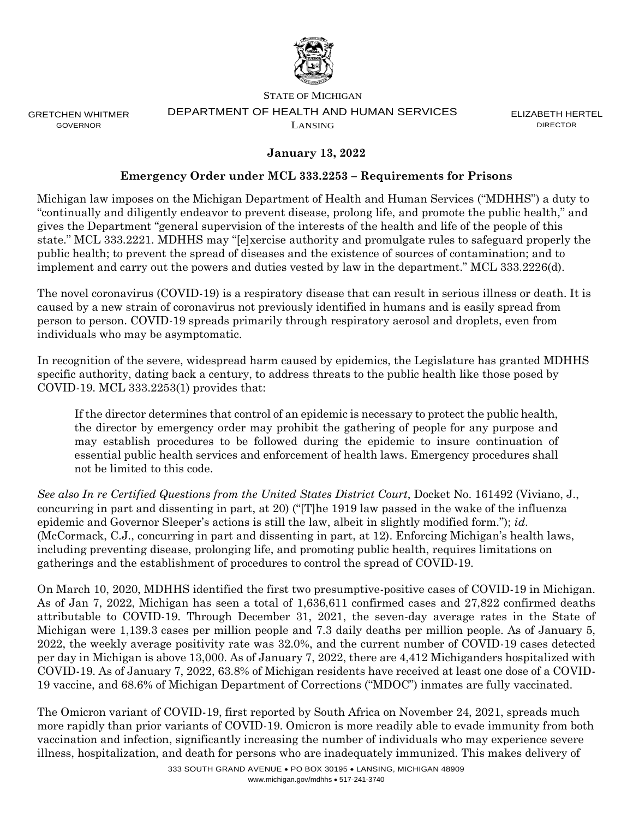

GRETCHEN WHITMER GOVERNOR

#### STATE OF MICHIGAN DEPARTMENT OF HEALTH AND HUMAN SERVICES LANSING

ELIZABETH HERTEL **DIRECTOR** 

# **January 13, 2022**

### **Emergency Order under MCL 333.2253 – Requirements for Prisons**

Michigan law imposes on the Michigan Department of Health and Human Services ("MDHHS") a duty to "continually and diligently endeavor to prevent disease, prolong life, and promote the public health," and gives the Department "general supervision of the interests of the health and life of the people of this state." MCL 333.2221. MDHHS may "[e]xercise authority and promulgate rules to safeguard properly the public health; to prevent the spread of diseases and the existence of sources of contamination; and to implement and carry out the powers and duties vested by law in the department." MCL 333.2226(d).

The novel coronavirus (COVID-19) is a respiratory disease that can result in serious illness or death. It is caused by a new strain of coronavirus not previously identified in humans and is easily spread from person to person. COVID-19 spreads primarily through respiratory aerosol and droplets, even from individuals who may be asymptomatic.

In recognition of the severe, widespread harm caused by epidemics, the Legislature has granted MDHHS specific authority, dating back a century, to address threats to the public health like those posed by COVID-19. MCL 333.2253(1) provides that:

If the director determines that control of an epidemic is necessary to protect the public health, the director by emergency order may prohibit the gathering of people for any purpose and may establish procedures to be followed during the epidemic to insure continuation of essential public health services and enforcement of health laws. Emergency procedures shall not be limited to this code.

*See also In re Certified Questions from the United States District Court*, Docket No. 161492 (Viviano, J., concurring in part and dissenting in part, at 20) ("[T]he 1919 law passed in the wake of the influenza epidemic and Governor Sleeper's actions is still the law, albeit in slightly modified form."); *id*. (McCormack, C.J., concurring in part and dissenting in part, at 12). Enforcing Michigan's health laws, including preventing disease, prolonging life, and promoting public health, requires limitations on gatherings and the establishment of procedures to control the spread of COVID-19.

On March 10, 2020, MDHHS identified the first two presumptive-positive cases of COVID-19 in Michigan. As of Jan 7, 2022, Michigan has seen a total of 1,636,611 confirmed cases and 27,822 confirmed deaths attributable to COVID-19. Through December 31, 2021, the seven-day average rates in the State of Michigan were 1,139.3 cases per million people and 7.3 daily deaths per million people. As of January 5, 2022, the weekly average positivity rate was 32.0%, and the current number of COVID-19 cases detected per day in Michigan is above 13,000. As of January 7, 2022, there are 4,412 Michiganders hospitalized with COVID-19. As of January 7, 2022, 63.8% of Michigan residents have received at least one dose of a COVID-19 vaccine, and 68.6% of Michigan Department of Corrections ("MDOC") inmates are fully vaccinated.

The Omicron variant of COVID-19, first reported by South Africa on November 24, 2021, spreads much more rapidly than prior variants of COVID-19. Omicron is more readily able to evade immunity from both vaccination and infection, significantly increasing the number of individuals who may experience severe illness, hospitalization, and death for persons who are inadequately immunized. This makes delivery of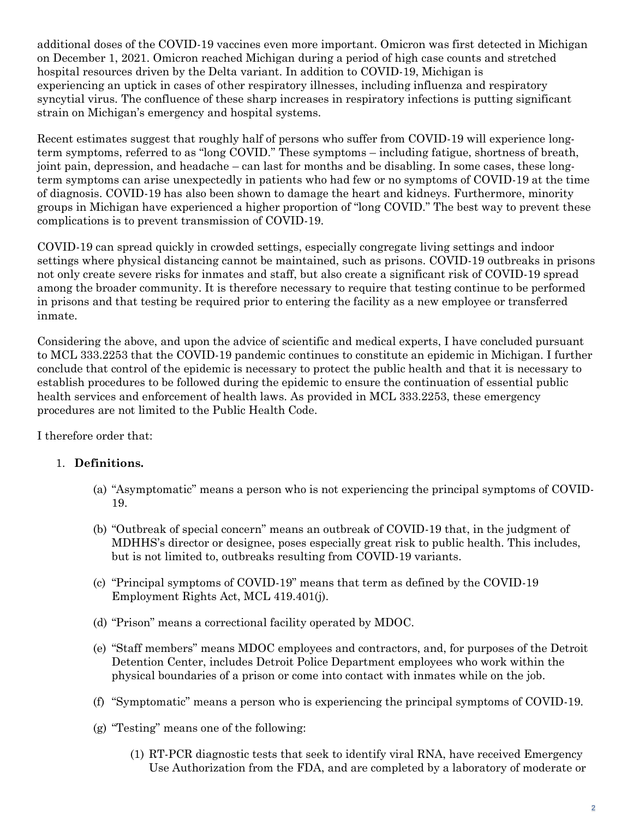additional doses of the COVID-19 vaccines even more important. Omicron was first detected in Michigan on December 1, 2021. Omicron reached Michigan during a period of high case counts and stretched hospital resources driven by the Delta variant. In addition to COVID-19, Michigan is experiencing an uptick in cases of other respiratory illnesses, including influenza and respiratory syncytial virus. The confluence of these sharp increases in respiratory infections is putting significant strain on Michigan's emergency and hospital systems.

Recent estimates suggest that roughly half of persons who suffer from COVID-19 will experience longterm symptoms, referred to as "long COVID." These symptoms – including fatigue, shortness of breath, joint pain, depression, and headache – can last for months and be disabling. In some cases, these longterm symptoms can arise unexpectedly in patients who had few or no symptoms of COVID-19 at the time of diagnosis. COVID-19 has also been shown to damage the heart and kidneys. Furthermore, minority groups in Michigan have experienced a higher proportion of "long COVID." The best way to prevent these complications is to prevent transmission of COVID-19.

COVID-19 can spread quickly in crowded settings, especially congregate living settings and indoor settings where physical distancing cannot be maintained, such as prisons. COVID-19 outbreaks in prisons not only create severe risks for inmates and staff, but also create a significant risk of COVID-19 spread among the broader community. It is therefore necessary to require that testing continue to be performed in prisons and that testing be required prior to entering the facility as a new employee or transferred inmate.

Considering the above, and upon the advice of scientific and medical experts, I have concluded pursuant to MCL 333.2253 that the COVID-19 pandemic continues to constitute an epidemic in Michigan. I further conclude that control of the epidemic is necessary to protect the public health and that it is necessary to establish procedures to be followed during the epidemic to ensure the continuation of essential public health services and enforcement of health laws. As provided in MCL 333.2253, these emergency procedures are not limited to the Public Health Code.

I therefore order that:

# 1. **Definitions.**

- (a) "Asymptomatic" means a person who is not experiencing the principal symptoms of COVID-19.
- (b) "Outbreak of special concern" means an outbreak of COVID-19 that, in the judgment of MDHHS's director or designee, poses especially great risk to public health. This includes, but is not limited to, outbreaks resulting from COVID-19 variants.
- (c) "Principal symptoms of COVID-19" means that term as defined by the COVID-19 Employment Rights Act, MCL 419.401(j).
- (d) "Prison" means a correctional facility operated by MDOC.
- (e) "Staff members" means MDOC employees and contractors, and, for purposes of the Detroit Detention Center, includes Detroit Police Department employees who work within the physical boundaries of a prison or come into contact with inmates while on the job.
- (f) "Symptomatic" means a person who is experiencing the principal symptoms of COVID-19.
- (g) "Testing" means one of the following:
	- (1) RT-PCR diagnostic tests that seek to identify viral RNA, have received Emergency Use Authorization from the FDA, and are completed by a laboratory of moderate or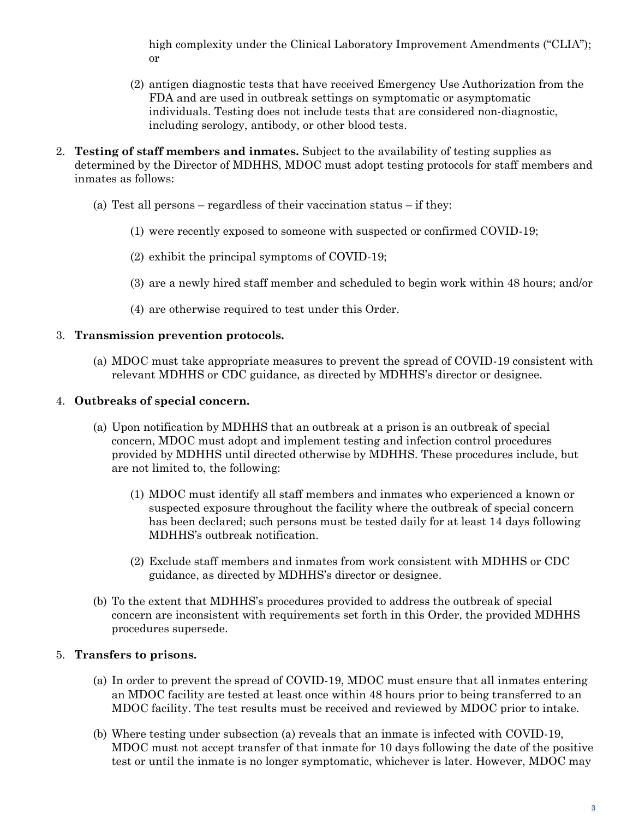high complexity under the Clinical Laboratory Improvement Amendments ("CLIA"); or

- (2) antigen diagnostic tests that have received Emergency Use Authorization from the FDA and are used in outbreak settings on symptomatic or asymptomatic individuals. Testing does not include tests that are considered non-diagnostic, including serology, antibody, or other blood tests.
- 2. **Testing of staff members and inmates.** Subject to the availability of testing supplies as determined by the Director of MDHHS, MDOC must adopt testing protocols for staff members and inmates as follows:
	- (a) Test all persons regardless of their vaccination status if they:
		- (1) were recently exposed to someone with suspected or confirmed COVID-19;
		- (2) exhibit the principal symptoms of COVID-19;
		- (3) are a newly hired staff member and scheduled to begin work within 48 hours; and/or
		- (4) are otherwise required to test under this Order.

## 3. **Transmission prevention protocols.**

(a) MDOC must take appropriate measures to prevent the spread of COVID-19 consistent with relevant MDHHS or CDC guidance, as directed by MDHHS's director or designee.

## 4. **Outbreaks of special concern.**

- (a) Upon notification by MDHHS that an outbreak at a prison is an outbreak of special concern, MDOC must adopt and implement testing and infection control procedures provided by MDHHS until directed otherwise by MDHHS. These procedures include, but are not limited to, the following:
	- (1) MDOC must identify all staff members and inmates who experienced a known or suspected exposure throughout the facility where the outbreak of special concern has been declared; such persons must be tested daily for at least 14 days following MDHHS's outbreak notification.
	- (2) Exclude staff members and inmates from work consistent with MDHHS or CDC guidance, as directed by MDHHS's director or designee.
- (b) To the extent that MDHHS's procedures provided to address the outbreak of special concern are inconsistent with requirements set forth in this Order, the provided MDHHS procedures supersede.

# 5. **Transfers to prisons.**

- (a) In order to prevent the spread of COVID-19, MDOC must ensure that all inmates entering an MDOC facility are tested at least once within 48 hours prior to being transferred to an MDOC facility. The test results must be received and reviewed by MDOC prior to intake.
- (b) Where testing under subsection (a) reveals that an inmate is infected with COVID-19, MDOC must not accept transfer of that inmate for 10 days following the date of the positive test or until the inmate is no longer symptomatic, whichever is later. However, MDOC may